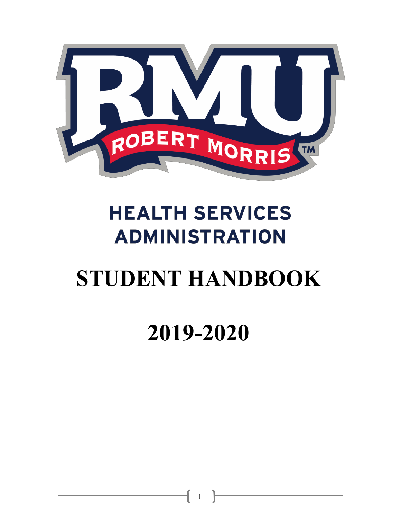

## **HEALTH SERVICES ADMINISTRATION**

# **STUDENT HANDBOOK**

## **2019-2020**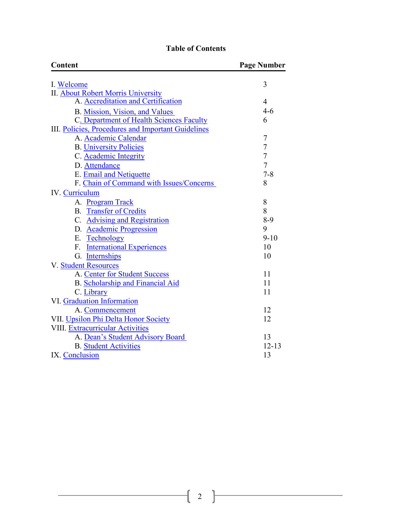## **Table of Contents**

| Content                                            | <b>Page Number</b> |
|----------------------------------------------------|--------------------|
| I. Welcome                                         | 3                  |
| <b>II. About Robert Morris University</b>          |                    |
| A. Accreditation and Certification                 | 4                  |
| B. Mission, Vision, and Values                     | $4 - 6$            |
| C. Department of Health Sciences Faculty           | 6                  |
| III. Policies, Procedures and Important Guidelines |                    |
| A. Academic Calendar                               | 7                  |
| <b>B.</b> University Policies                      | $\overline{7}$     |
| C. Academic Integrity                              | $\overline{7}$     |
| D. Attendance                                      | $\overline{7}$     |
| E. Email and Netiquette                            | $7 - 8$            |
| F. Chain of Command with Issues/Concerns           | 8                  |
| <b>IV.</b> Curriculum                              |                    |
| A. Program Track                                   | 8                  |
| <b>B.</b> Transfer of Credits                      | 8                  |
| C. Advising and Registration                       | $8-9$              |
| D. Academic Progression                            | 9                  |
| E. Technology                                      | $9 - 10$           |
| F. International Experiences                       | 10                 |
| G. Internships                                     | 10                 |
| V. Student Resources                               |                    |
| A. Center for Student Success                      | 11                 |
| <b>B.</b> Scholarship and Financial Aid            | 11                 |
| C. Library                                         | 11                 |
| VI. Graduation Information                         |                    |
| A. Commencement                                    | 12                 |
| VII. Upsilon Phi Delta Honor Society               | 12                 |
| VIII. Extracurricular Activities                   |                    |
| A. Dean's Student Advisory Board                   | 13                 |
| <b>B.</b> Student Activities                       | $12 - 13$          |
| IX. Conclusion                                     | 13                 |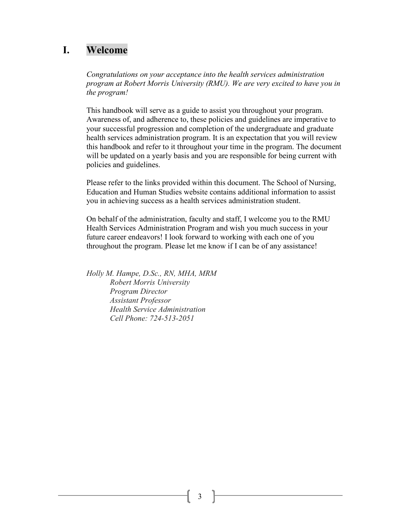## <span id="page-2-0"></span>**I. Welcome**

*Congratulations on your acceptance into the health services administration program at Robert Morris University (RMU). We are very excited to have you in the program!*

This handbook will serve as a guide to assist you throughout your program. Awareness of, and adherence to, these policies and guidelines are imperative to your successful progression and completion of the undergraduate and graduate health services administration program. It is an expectation that you will review this handbook and refer to it throughout your time in the program. The document will be updated on a yearly basis and you are responsible for being current with policies and guidelines.

Please refer to the links provided within this document. The School of Nursing, Education and Human Studies website contains additional information to assist you in achieving success as a health services administration student.

On behalf of the administration, faculty and staff, I welcome you to the RMU Health Services Administration Program and wish you much success in your future career endeavors! I look forward to working with each one of you throughout the program. Please let me know if I can be of any assistance!

*Holly M. Hampe, D.Sc., RN, MHA, MRM Robert Morris University Program Director Assistant Professor Health Service Administration Cell Phone: 724-513-2051*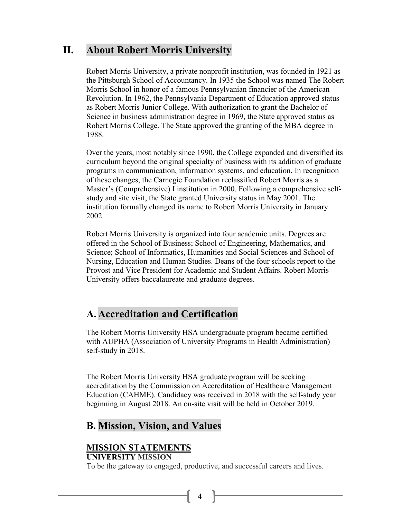## <span id="page-3-0"></span>**II. About Robert Morris University**

Robert Morris University, a private nonprofit institution, was founded in 1921 as the Pittsburgh School of Accountancy. In 1935 the School was named The Robert Morris School in honor of a famous Pennsylvanian financier of the American Revolution. In 1962, the Pennsylvania Department of Education approved status as Robert Morris Junior College. With authorization to grant the Bachelor of Science in business administration degree in 1969, the State approved status as Robert Morris College. The State approved the granting of the MBA degree in 1988.

<span id="page-3-1"></span>Over the years, most notably since 1990, the College expanded and diversified its curriculum beyond the original specialty of business with its addition of graduate programs in communication, information systems, and education. In recognition of these changes, the Carnegie Foundation reclassified Robert Morris as a Master's (Comprehensive) I institution in 2000. Following a comprehensive selfstudy and site visit, the State granted University status in May 2001. The institution formally changed its name to Robert Morris University in January 2002.

<span id="page-3-2"></span>Robert Morris University is organized into four academic units. Degrees are offered in the School of Business; School of Engineering, Mathematics, and Science; School of Informatics, Humanities and Social Sciences and School of Nursing, Education and Human Studies. Deans of the four schools report to the Provost and Vice President for Academic and Student Affairs. Robert Morris University offers baccalaureate and graduate degrees.

## **A. Accreditation and Certification**

The Robert Morris University HSA undergraduate program became certified with AUPHA (Association of University Programs in Health Administration) self-study in 2018.

The Robert Morris University HSA graduate program will be seeking accreditation by the Commission on Accreditation of Healthcare Management Education (CAHME). Candidacy was received in 2018 with the self-study year beginning in August 2018. An on-site visit will be held in October 2019.

## **B. Mission, Vision, and Values**

#### **MISSION STATEMENTS UNIVERSITY MISSION**

To be the gateway to engaged, productive, and successful careers and lives.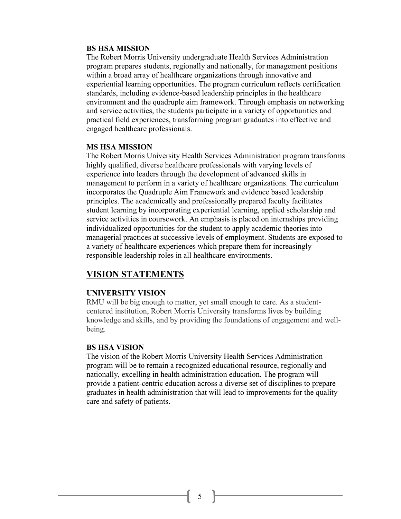#### **BS HSA MISSION**

The Robert Morris University undergraduate Health Services Administration program prepares students, regionally and nationally, for management positions within a broad array of healthcare organizations through innovative and experiential learning opportunities. The program curriculum reflects certification standards, including evidence-based leadership principles in the healthcare environment and the quadruple aim framework. Through emphasis on networking and service activities, the students participate in a variety of opportunities and practical field experiences, transforming program graduates into effective and engaged healthcare professionals.

#### **MS HSA MISSION**

The Robert Morris University Health Services Administration program transforms highly qualified, diverse healthcare professionals with varying levels of experience into leaders through the development of advanced skills in management to perform in a variety of healthcare organizations. The curriculum incorporates the Quadruple Aim Framework and evidence based leadership principles. The academically and professionally prepared faculty facilitates student learning by incorporating experiential learning, applied scholarship and service activities in coursework. An emphasis is placed on internships providing individualized opportunities for the student to apply academic theories into managerial practices at successive levels of employment. Students are exposed to a variety of healthcare experiences which prepare them for increasingly responsible leadership roles in all healthcare environments.

#### **VISION STATEMENTS**

#### **UNIVERSITY VISION**

RMU will be big enough to matter, yet small enough to care. As a studentcentered institution, Robert Morris University transforms lives by building knowledge and skills, and by providing the foundations of engagement and wellbeing.

#### **BS HSA VISION**

The vision of the Robert Morris University Health Services Administration program will be to remain a recognized educational resource, regionally and nationally, excelling in health administration education. The program will provide a patient-centric education across a diverse set of disciplines to prepare graduates in health administration that will lead to improvements for the quality care and safety of patients.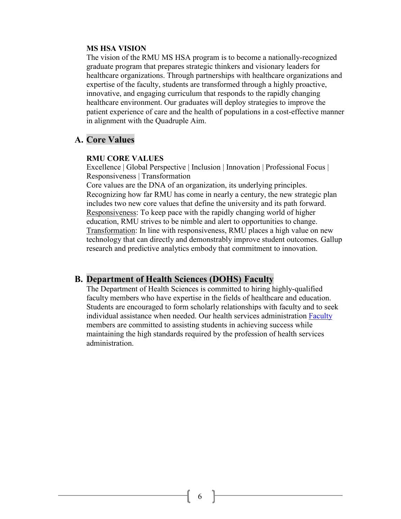#### **MS HSA VISION**

The vision of the RMU MS HSA program is to become a nationally-recognized graduate program that prepares strategic thinkers and visionary leaders for healthcare organizations. Through partnerships with healthcare organizations and expertise of the faculty, students are transformed through a highly proactive, innovative, and engaging curriculum that responds to the rapidly changing healthcare environment. Our graduates will deploy strategies to improve the patient experience of care and the health of populations in a cost-effective manner in alignment with the Quadruple Aim.

## **A. Core Values**

#### **RMU CORE VALUES**

Excellence | Global Perspective | Inclusion | Innovation | Professional Focus | Responsiveness | Transformation

Core values are the DNA of an organization, its underlying principles. Recognizing how far RMU has come in nearly a century, the new strategic plan includes two new core values that define the university and its path forward. Responsiveness: To keep pace with the rapidly changing world of higher education, RMU strives to be nimble and alert to opportunities to change. Transformation: In line with responsiveness, RMU places a high value on new technology that can directly and demonstrably improve student outcomes. Gallup research and predictive analytics embody that commitment to innovation.

## <span id="page-5-0"></span>**B. Department of Health Sciences (DOHS) Faculty**

The Department of Health Sciences is committed to hiring highly-qualified faculty members who have expertise in the fields of healthcare and education. Students are encouraged to form scholarly relationships with faculty and to seek individual assistance when needed. Our health services administration [Faculty](https://www.rmu.edu/academics/schools/snehs/faculty) members are committed to assisting students in achieving success while maintaining the high standards required by the profession of health services administration.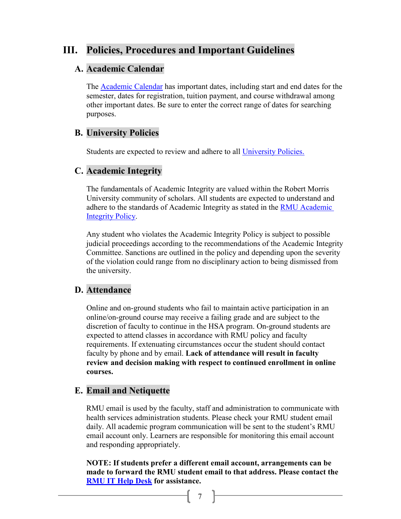## <span id="page-6-0"></span>**III. Policies, Procedures and Important Guidelines**

## **A. Academic Calendar**

The [Academic Calendar](https://sentry.rmu.edu/OnTheMove/findoutmore.open_page?ipage=999020) has important dates, including start and end dates for the semester, dates for registration, tuition payment, and course withdrawal among other important dates. Be sure to enter the correct range of dates for searching purposes.

## <span id="page-6-1"></span>**B. University Policies**

Students are expected to review and adhere to all [University Policies.](http://publicsafety.rmu.edu/university-policies)

## **C. Academic Integrity**

The fundamentals of Academic Integrity are valued within the Robert Morris University community of scholars. All students are expected to understand and adhere to the standards of Academic Integrity as stated in the [RMU Academic](http://academicaffairs.rmu.edu/academic-integrity)  [Integrity Policy.](http://academicaffairs.rmu.edu/academic-integrity)

Any student who violates the Academic Integrity Policy is subject to possible judicial proceedings according to the recommendations of the Academic Integrity Committee. Sanctions are outlined in the policy and depending upon the severity of the violation could range from no disciplinary action to being dismissed from the university.

## **D. Attendance**

Online and on-ground students who fail to maintain active participation in an online/on-ground course may receive a failing grade and are subject to the discretion of faculty to continue in the HSA program. On-ground students are expected to attend classes in accordance with RMU policy and faculty requirements. If extenuating circumstances occur the student should contact faculty by phone and by email. **Lack of attendance will result in faculty review and decision making with respect to continued enrollment in online courses.**

## **E. Email and Netiquette**

RMU email is used by the faculty, staff and administration to communicate with health services administration students. Please check your RMU student email daily. All academic program communication will be sent to the student's RMU email account only. Learners are responsible for monitoring this email account and responding appropriately.

**NOTE: If students prefer a different email account, arrangements can be made to forward the RMU student email to that address. Please contact the [RMU IT Help Desk](http://it.rmu.edu/help-desk) for assistance.**

 $\begin{bmatrix} 7 \end{bmatrix}$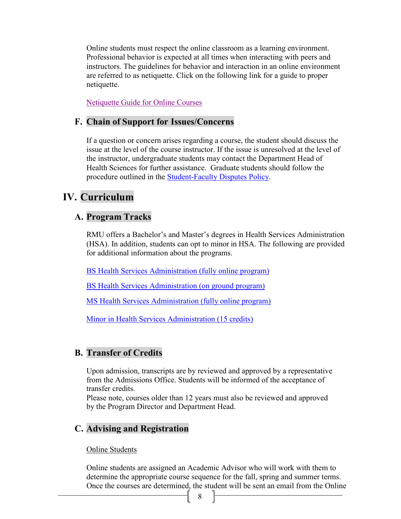<span id="page-7-1"></span><span id="page-7-0"></span>Online students must respect the online classroom as a learning environment. Professional behavior is expected at all times when interacting with peers and instructors. The guidelines for behavior and interaction in an online environment are referred to as netiquette. Click on the following link for a guide to proper netiquette.

[Netiquette Guide for Online Courses](http://oloc.rmu.edu/netiquette/NetiquetteGuideforOnlineCourses.pdf)

#### <span id="page-7-2"></span>**F. Chain of Support for Issues/Concerns**

If a question or concern arises regarding a course, the student should discuss the issue at the level of the course instructor. If the issue is unresolved at the level of the instructor, undergraduate students may contact the Department Head of Health Sciences for further assistance. Graduate students should follow the procedure outlined in the [Student-Faculty Disputes Policy.](https://docs.google.com/a/rmu.edu/viewer?a=v&pid=sites&srcid=cm11LmVkdXxhY2FkZW1pYy1zZXJ2aWNlc3xneDo1N2MwNjY3MzcwMjc0MTk1)

## <span id="page-7-3"></span>**IV. Curriculum**

### **A. Program Tracks**

RMU offers a Bachelor's and Master's degrees in Health Services Administration (HSA). In addition, students can opt to minor in HSA. The following are provided for additional information about the programs.

[BS Health Services Administration \(fully online program\)](https://sentry.rmu.edu/OnTheMove/wpmajdegr.major_desc?iCalledBy=WPMAJDEGR&idegree=BS&imajor=HSOL&ischool=U)

[BS Health Services Administration \(on ground program\)](https://sentry.rmu.edu/OnTheMove/wpmajdegr.major_desc?iCalledBy=WPMAJDEGR&idegree=BS&imajor=HSAD&ischool=U)

[MS Health Services Administration \(](http://www.rmu.edu/OnTheMove/wpmajdegr.current_checksheet?icksht=G56)fully online [program\)](https://www.rmu.edu/academics/graduate/health-services-administration)

[Minor in Health Services Administration \(15 credits\)](https://sentry.rmu.edu/OnTheMove/wpmajdegr.show_checksheet?ipage=1195&iattr=M&icksht=2018USB)

#### **B. Transfer of Credits**

Upon admission, transcripts are by reviewed and approved by a representative from the Admissions Office. Students will be informed of the acceptance of transfer credits.

Please note, courses older than 12 years must also be reviewed and approved by the Program Director and Department Head.

#### **C. Advising and Registration**

Online Students

Online students are assigned an Academic Advisor who will work with them to determine the appropriate course sequence for the fall, spring and summer terms. Once the courses are determined, the student will be sent an email from the Online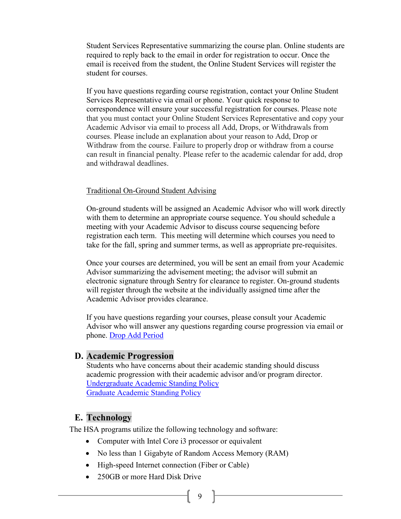Student Services Representative summarizing the course plan. Online students are required to reply back to the email in order for registration to occur. Once the email is received from the student, the Online Student Services will register the student for courses.

<span id="page-8-0"></span>If you have questions regarding course registration, contact your Online Student Services Representative via email or phone. Your quick response to correspondence will ensure your successful registration for courses. Please note that you must contact your Online Student Services Representative and copy your Academic Advisor via email to process all Add, Drops, or Withdrawals from courses. Please include an explanation about your reason to Add, Drop or Withdraw from the course. Failure to properly drop or withdraw from a course can result in financial penalty. Please refer to the academic calendar for add, drop and withdrawal deadlines.

#### <span id="page-8-1"></span>Traditional On-Ground Student Advising

On-ground students will be assigned an Academic Advisor who will work directly with them to determine an appropriate course sequence. You should schedule a meeting with your Academic Advisor to discuss course sequencing before registration each term. This meeting will determine which courses you need to take for the fall, spring and summer terms, as well as appropriate pre-requisites.

Once your courses are determined, you will be sent an email from your Academic Advisor summarizing the advisement meeting; the advisor will submit an electronic signature through Sentry for clearance to register. On-ground students will register through the website at the individually assigned time after the Academic Advisor provides clearance.

If you have questions regarding your courses, please consult your Academic Advisor who will answer any questions regarding course progression via email or phone. [Drop Add Period](http://www.rmu.edu/web/cms/departments-offices/administration-services/academic-services/Pages/registration-procedures.aspx)

#### **D. Academic Progression**

Students who have concerns about their academic standing should discuss academic progression with their academic advisor and/or program director. [Undergraduate Academic Standing Policy](http://academicaffairs.rmu.edu/academic-policies/undergraduate/academic-standing) [Graduate Academic Standing Policy](http://academicaffairs.rmu.edu/academic-policies/graduate/academic-standing)

#### **E. Technology**

The HSA programs utilize the following technology and software:

- Computer with Intel Core i3 processor or equivalent
- No less than 1 Gigabyte of Random Access Memory (RAM)
- High-speed Internet connection (Fiber or Cable)
- 250GB or more Hard Disk Drive
	- f 9 }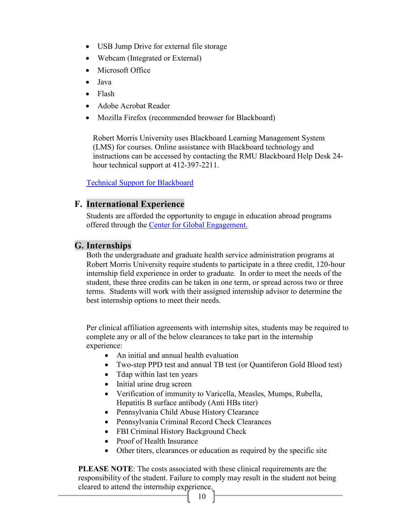- USB Jump Drive for external file storage
- Webcam (Integrated or External)
- Microsoft Office
- Java
- Flash
- Adobe Acrobat Reader
- Mozilla Firefox (recommended browser for Blackboard)

Robert Morris University uses Blackboard Learning Management System (LMS) for courses. Online assistance with Blackboard technology and instructions can be accessed by contacting the RMU Blackboard Help Desk 24 hour technical support at 412-397-2211.

[Technical Support for Blackboard](http://bbfaculty.rmu.edu/technical-support)

## <span id="page-9-0"></span>**F. International Experience**

Students are afforded the opportunity to engage in education abroad programs offered through the [Center for Global Engagement.](https://www.rmu.edu/academics/provost/cge)

## **G. Internships**

Both the undergraduate and graduate health service administration programs at Robert Morris University require students to participate in a three credit, 120-hour internship field experience in order to graduate. In order to meet the needs of the student, these three credits can be taken in one term, or spread across two or three terms. Students will work with their assigned internship advisor to determine the best internship options to meet their needs.

Per clinical affiliation agreements with internship sites, students may be required to complete any or all of the below clearances to take part in the internship experience:

- An initial and annual health evaluation
- Two-step PPD test and annual TB test (or Quantiferon Gold Blood test)
- Tdap within last ten years
- Initial urine drug screen
- Verification of immunity to Varicella, Measles, Mumps, Rubella, Hepatitis B surface antibody (Anti HBs titer)
- Pennsylvania Child Abuse History Clearance
- Pennsylvania Criminal Record Check Clearances
- FBI Criminal History Background Check
- Proof of Health Insurance
- Other titers, clearances or education as required by the specific site

**PLEASE NOTE**: The costs associated with these clinical requirements are the responsibility of the student. Failure to comply may result in the student not being cleared to attend the internship experience.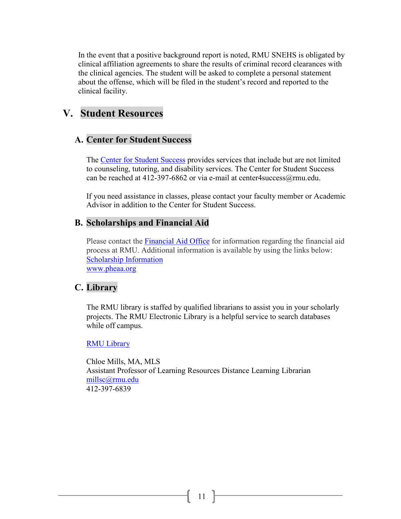In the event that a positive background report is noted, RMU SNEHS is obligated by clinical affiliation agreements to share the results of criminal record clearances with the clinical agencies. The student will be asked to complete a personal statement about the offense, which will be filed in the student's record and reported to the clinical facility.

## <span id="page-10-1"></span><span id="page-10-0"></span>**V. Student Resources**

## **A. Center for Student Success**

The [Center for Student Success](http://studentlife.rmu.edu/center-for-student-success/) provides services that include but are not limited to counseling, tutoring, and disability services. The Center for Student Success can be reached at 412-397-6862 or via e-mail at center4 success @ rmu.edu.

If you need assistance in classes, please contact your faculty member or Academic Advisor in addition to the Center for Student Success.

## <span id="page-10-2"></span>**B. Scholarships and Financial Aid**

Please contact the [Financial Aid Office](http://www.rmu.edu/financialaid) for information regarding the financial aid process at RMU. Additional information is available by using the links below: [Scholarship Information](https://rmu.edu/admissions/financial-aid/scholarships) [www.pheaa.org](http://www.pheaa.org/)

## **C. Library**

The RMU library is staffed by qualified librarians to assist you in your scholarly projects. The RMU Electronic Library is a helpful service to search databases while off campus.

#### [RMU Library](http://sentry.rmu.edu/web/cms/schools/library/Pages/default.aspx)

Chloe Mills, MA, MLS Assistant Professor of Learning Resources Distance Learning Librarian [millsc@rmu.edu](mailto:millsc@rmu.edu) 412-397-6839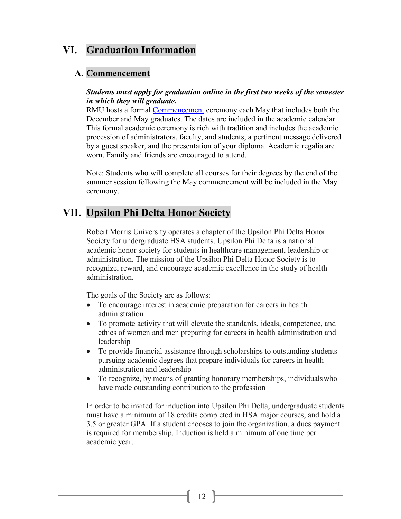## <span id="page-11-0"></span>**VI. Graduation Information**

## **A. Commencement**

#### *Students must apply for graduation online in the first two weeks of the semester in which they will graduate.*

RMU hosts a formal [Commencement](http://commencement.rmu.edu/) ceremony each May that includes both the December and May graduates. The dates are included in the academic calendar. This formal academic ceremony is rich with tradition and includes the academic procession of administrators, faculty, and students, a pertinent message delivered by a guest speaker, and the presentation of your diploma. Academic regalia are worn. Family and friends are encouraged to attend.

Note: Students who will complete all courses for their degrees by the end of the summer session following the May commencement will be included in the May ceremony.

## **VII. Upsilon Phi Delta Honor Society**

Robert Morris University operates a chapter of the Upsilon Phi Delta Honor Society for undergraduate HSA students. Upsilon Phi Delta is a national academic honor society for students in healthcare management, leadership or administration. The mission of the Upsilon Phi Delta Honor Society is to recognize, reward, and encourage academic excellence in the study of health administration.

The goals of the Society are as follows:

- To encourage interest in academic preparation for careers in health administration
- To promote activity that will elevate the standards, ideals, competence, and ethics of women and men preparing for careers in health administration and leadership
- To provide financial assistance through scholarships to outstanding students pursuing academic degrees that prepare individuals for careers in health administration and leadership
- To recognize, by means of granting honorary memberships, individualswho have made outstanding contribution to the profession

In order to be invited for induction into Upsilon Phi Delta, undergraduate students must have a minimum of 18 credits completed in HSA major courses, and hold a 3.5 or greater GPA. If a student chooses to join the organization, a dues payment is required for membership. Induction is held a minimum of one time per academic year.